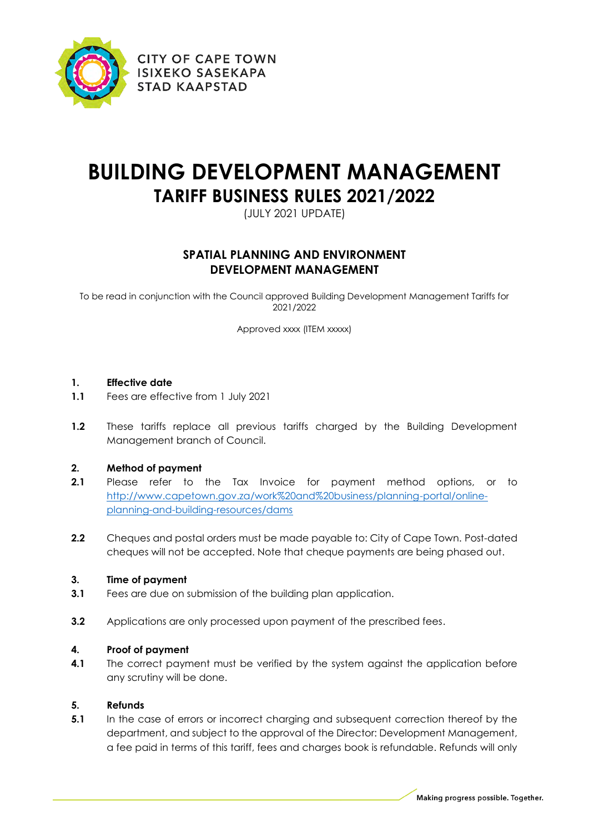

# **BUILDING DEVELOPMENT MANAGEMENT TARIFF BUSINESS RULES 2021/2022**

(JULY 2021 UPDATE)

# **SPATIAL PLANNING AND ENVIRONMENT DEVELOPMENT MANAGEMENT**

To be read in conjunction with the Council approved Building Development Management Tariffs for 2021/2022

Approved xxxx (ITEM xxxxx)

## **1. Effective date**

- **1.1** Fees are effective from 1 July 2021
- **1.2** These tariffs replace all previous tariffs charged by the Building Development Management branch of Council.

## **2. Method of payment**

- **2.1** Please refer to the Tax Invoice for payment method options, or to [http://www.capetown.gov.za/work%20and%20business/planning-portal/online](http://www.capetown.gov.za/work%20and%20business/planning-portal/online-planning-and-building-resources/dams)[planning-and-building-resources/dams](http://www.capetown.gov.za/work%20and%20business/planning-portal/online-planning-and-building-resources/dams)
- **2.2** Cheques and postal orders must be made payable to: City of Cape Town. Post-dated cheques will not be accepted. Note that cheque payments are being phased out.

## **3. Time of payment**

- **3.1** Fees are due on submission of the building plan application.
- **3.2** Applications are only processed upon payment of the prescribed fees.

## **4. Proof of payment**

**4.1** The correct payment must be verified by the system against the application before any scrutiny will be done.

## **5. Refunds**

**5.1** In the case of errors or incorrect charging and subsequent correction thereof by the department, and subject to the approval of the Director: Development Management, a fee paid in terms of this tariff, fees and charges book is refundable. Refunds will only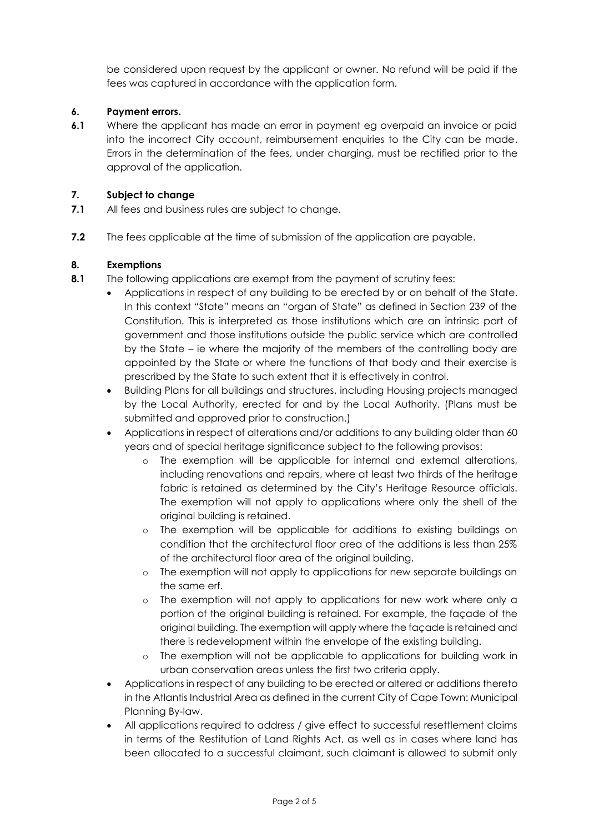be considered upon request by the applicant or owner. No refund will be paid if the fees was captured in accordance with the application form.

#### **6. Payment errors.**

**6.1** Where the applicant has made an error in payment eg overpaid an invoice or paid into the incorrect City account, reimbursement enquiries to the City can be made. Errors in the determination of the fees, under charging, must be rectified prior to the approval of the application.

#### **7. Subject to change**

- **7.1** All fees and business rules are subject to change.
- **7.2** The fees applicable at the time of submission of the application are payable.

#### **8. Exemptions**

- **8.1** The following applications are exempt from the payment of scrutiny fees:
	- Applications in respect of any building to be erected by or on behalf of the State. In this context "State" means an "organ of State" as defined in Section 239 of the Constitution. This is interpreted as those institutions which are an intrinsic part of government and those institutions outside the public service which are controlled by the State – ie where the majority of the members of the controlling body are appointed by the State or where the functions of that body and their exercise is prescribed by the State to such extent that it is effectively in control.
	- Building Plans for all buildings and structures, including Housing projects managed by the Local Authority, erected for and by the Local Authority. (Plans must be submitted and approved prior to construction.)
	- Applications in respect of alterations and/or additions to any building older than 60 years and of special heritage significance subject to the following provisos:
		- o The exemption will be applicable for internal and external alterations, including renovations and repairs, where at least two thirds of the heritage fabric is retained as determined by the City's Heritage Resource officials. The exemption will not apply to applications where only the shell of the original building is retained.
		- o The exemption will be applicable for additions to existing buildings on condition that the architectural floor area of the additions is less than 25% of the architectural floor area of the original building.
		- o The exemption will not apply to applications for new separate buildings on the same erf.
		- o The exemption will not apply to applications for new work where only a portion of the original building is retained. For example, the façade of the original building. The exemption will apply where the façade is retained and there is redevelopment within the envelope of the existing building.
		- o The exemption will not be applicable to applications for building work in urban conservation areas unless the first two criteria apply.
	- Applications in respect of any building to be erected or altered or additions thereto in the Atlantis Industrial Area as defined in the current City of Cape Town: Municipal Planning By-law.
	- All applications required to address / give effect to successful resettlement claims in terms of the Restitution of Land Rights Act, as well as in cases where land has been allocated to a successful claimant, such claimant is allowed to submit only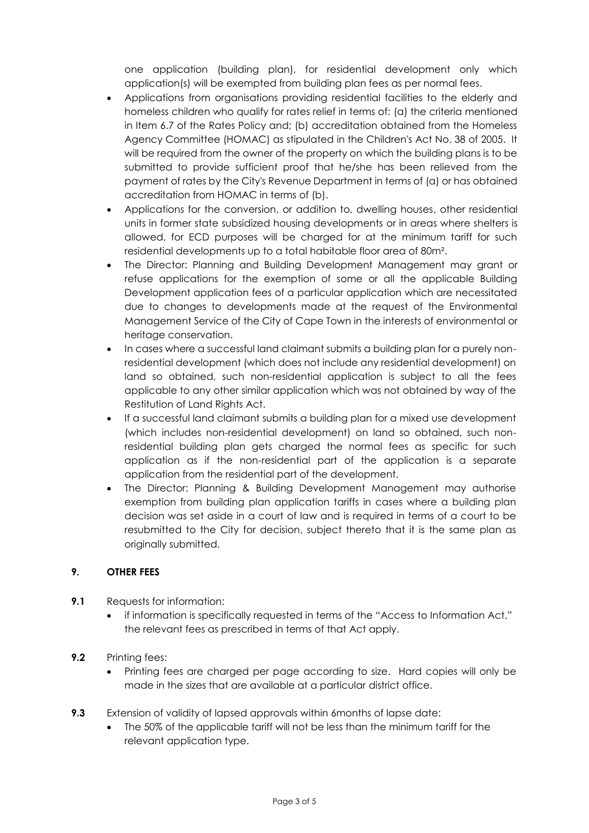one application (building plan), for residential development only which application(s) will be exempted from building plan fees as per normal fees.

- Applications from organisations providing residential facilities to the elderly and homeless children who qualify for rates relief in terms of: (a) the criteria mentioned in Item 6.7 of the Rates Policy and; (b) accreditation obtained from the Homeless Agency Committee (HOMAC) as stipulated in the Children's Act No. 38 of 2005. It will be required from the owner of the property on which the building plans is to be submitted to provide sufficient proof that he/she has been relieved from the payment of rates by the City's Revenue Department in terms of (a) or has obtained accreditation from HOMAC in terms of (b).
- Applications for the conversion, or addition to, dwelling houses, other residential units in former state subsidized housing developments or in areas where shelters is allowed, for ECD purposes will be charged for at the minimum tariff for such residential developments up to a total habitable floor area of 80m².
- The Director: Planning and Building Development Management may grant or refuse applications for the exemption of some or all the applicable Building Development application fees of a particular application which are necessitated due to changes to developments made at the request of the Environmental Management Service of the City of Cape Town in the interests of environmental or heritage conservation.
- In cases where a successful land claimant submits a building plan for a purely nonresidential development (which does not include any residential development) on land so obtained, such non-residential application is subject to all the fees applicable to any other similar application which was not obtained by way of the Restitution of Land Rights Act.
- If a successful land claimant submits a building plan for a mixed use development (which includes non-residential development) on land so obtained, such nonresidential building plan gets charged the normal fees as specific for such application as if the non-residential part of the application is a separate application from the residential part of the development.
- The Director: Planning & Building Development Management may authorise exemption from building plan application tariffs in cases where a building plan decision was set aside in a court of law and is required in terms of a court to be resubmitted to the City for decision, subject thereto that it is the same plan as originally submitted.

## **9. OTHER FEES**

- **9.1** Requests for information:
	- if information is specifically requested in terms of the "Access to Information Act," the relevant fees as prescribed in terms of that Act apply.
- **9.2** Printing fees:
	- Printing fees are charged per page according to size. Hard copies will only be made in the sizes that are available at a particular district office.
- **9.3** Extension of validity of lapsed approvals within 6months of lapse date:
	- The 50% of the applicable tariff will not be less than the minimum tariff for the relevant application type.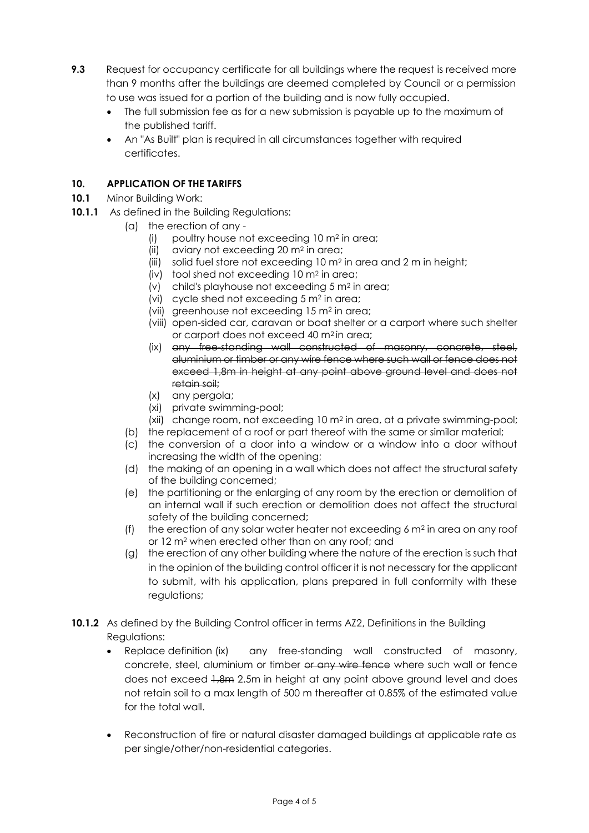- **9.3** Request for occupancy certificate for all buildings where the request is received more than 9 months after the buildings are deemed completed by Council or a permission to use was issued for a portion of the building and is now fully occupied.
	- The full submission fee as for a new submission is payable up to the maximum of the published tariff.
	- An "As Built" plan is required in all circumstances together with required certificates.

# **10. APPLICATION OF THE TARIFFS**

- **10.1** Minor Building Work:
- **10.1.1** As defined in the Building Regulations:
	- (a) the erection of any
		- (i) poultry house not exceeding 10 m<sup>2</sup> in area;
		- (ii) aviary not exceeding 20 m<sup>2</sup> in area;
		- (iii) solid fuel store not exceeding 10 m<sup>2</sup> in area and 2 m in height;
		- (iv) tool shed not exceeding 10 m<sup>2</sup> in area;
		- (v) child's playhouse not exceeding 5 m<sup>2</sup> in area;
		- (vi) cycle shed not exceeding 5 m<sup>2</sup> in area;
		- (vii) greenhouse not exceeding 15 m<sup>2</sup> in area;
		- (viii) open-sided car, caravan or boat shelter or a carport where such shelter or carport does not exceed 40 m2 in area;
		- (ix) any free-standing wall constructed of masonry, concrete, steel, aluminium or timber or any wire fence where such wall or fence does not exceed 1,8m in height at any point above ground level and does not retain soil;
		- (x) any pergola;
		- (xi) private swimming-pool;
		- (xii) change room, not exceeding 10 m<sup>2</sup> in area, at a private swimming-pool;
	- (b) the replacement of a roof or part thereof with the same or similar material;
	- (c) the conversion of a door into a window or a window into a door without increasing the width of the opening;
	- (d) the making of an opening in a wall which does not affect the structural safety of the building concerned;
	- (e) the partitioning or the enlarging of any room by the erection or demolition of an internal wall if such erection or demolition does not affect the structural safety of the building concerned;
	- (f) the erection of any solar water heater not exceeding  $6 \text{ m}^2$  in area on any roof or 12 m<sup>2</sup> when erected other than on any roof; and
	- (g) the erection of any other building where the nature of the erection is such that in the opinion of the building control officer it is not necessary for the applicant to submit, with his application, plans prepared in full conformity with these regulations;
- **10.1.2** As defined by the Building Control officer in terms AZ2, Definitions in the Building Regulations:
	- Replace definition (ix) any free-standing wall constructed of masonry, concrete, steel, aluminium or timber or any wire fence where such wall or fence does not exceed  $1.8m$  2.5m in height at any point above ground level and does not retain soil to a max length of 500 m thereafter at 0.85% of the estimated value for the total wall.
	- Reconstruction of fire or natural disaster damaged buildings at applicable rate as per single/other/non-residential categories.